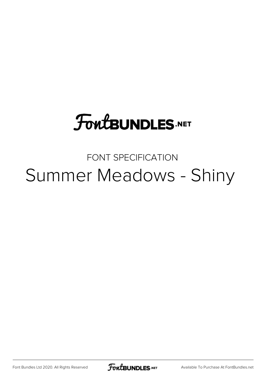# **FoutBUNDLES.NET**

## FONT SPECIFICATION Summer Meadows - Shiny

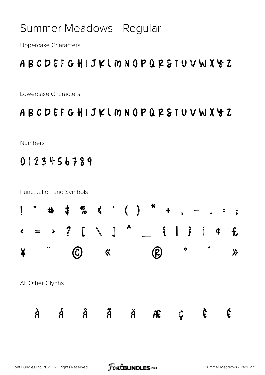### Summer Meadows - Regular

**Uppercase Characters** 

### ABCDEFGHIJKIMNOPQRSTUVWXYZ

Lowercase Characters

#### ABCDEFGHIJKIMNOPQRSTUVWXYZ

Numbers

#### 0123456789

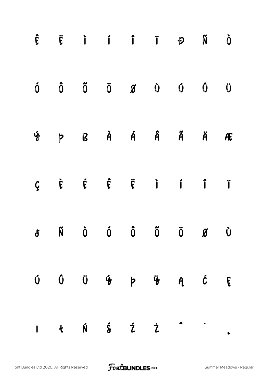|   |  |  | $\hat{\mathbf{E}}\qquad\qquad \hat{\mathbf{E}}\qquad\qquad \hat{\mathbf{i}}\qquad\qquad \hat{\mathbf{i}}\qquad\qquad \hat{\mathbf{i}}\qquad\qquad \hat{\mathbf{F}}\qquad\qquad \hat{\mathbf{N}}\qquad\qquad \hat{\mathbf{O}}$                                                                                                                                                                                                                                    |                         |
|---|--|--|------------------------------------------------------------------------------------------------------------------------------------------------------------------------------------------------------------------------------------------------------------------------------------------------------------------------------------------------------------------------------------------------------------------------------------------------------------------|-------------------------|
|   |  |  | $\begin{matrix} \hat{0} & \hat{0} & \hat{0} & \hat{0} & \hat{0} & \hat{0} & \hat{0} & \hat{0} & \hat{0} & \hat{0} & \hat{0} & \hat{0} & \hat{0} & \hat{0} & \hat{0} & \hat{0} & \hat{0} & \hat{0} & \hat{0} & \hat{0} & \hat{0} & \hat{0} & \hat{0} & \hat{0} & \hat{0} & \hat{0} & \hat{0} & \hat{0} & \hat{0} & \hat{0} & \hat{0} & \hat{0} & \hat{0} & \hat{0} & \hat{0} & \hat{0}$                                                                           |                         |
| ý |  |  | P ß À Á Â Ã Ä                                                                                                                                                                                                                                                                                                                                                                                                                                                    | $\overline{\mathbf{f}}$ |
|   |  |  | $\zeta \hspace{0.1in} \dot{\xi} \hspace{0.1in} \dot{\xi} \hspace{0.1in} \ddot{\xi} \hspace{0.1in} \dot{\zeta} \hspace{0.1in} \dot{\zeta} \hspace{0.1in} \dot{\zeta} \hspace{0.1in} \dot{\zeta} \hspace{0.1in} \dot{\zeta} \hspace{0.1in} \dot{\zeta} \hspace{0.1in} \dot{\zeta} \hspace{0.1in} \dot{\zeta} \hspace{0.1in} \dot{\zeta} \hspace{0.1in} \dot{\zeta} \hspace{0.1in} \dot{\zeta} \hspace{0.1in}$                                                      |                         |
|   |  |  | độ Nộ Ô Ô Õ Ö Ø Ù                                                                                                                                                                                                                                                                                                                                                                                                                                                |                         |
|   |  |  | Ú Û Ü Ý Þ Ÿ A Ć Ę                                                                                                                                                                                                                                                                                                                                                                                                                                                |                         |
|   |  |  | $1\qquad \qquad \mathfrak{t}\qquad \hat{\mathfrak{h}}\qquad \qquad \hat{\mathfrak{z}}\qquad \qquad \hat{\mathfrak{z}}\qquad \qquad \hat{\mathfrak{c}}\qquad \qquad \  \  \, \ldots\qquad \qquad \  \, \ldots\qquad \qquad \  \, \ldots\qquad \qquad \  \, \ldots\qquad \qquad \  \, \ldots\qquad \qquad \  \, \ldots\qquad \qquad \  \, \ldots\qquad \qquad \  \, \ldots\qquad \qquad \  \, \ldots\qquad \qquad \  \, \ldots\qquad \qquad \  \, \ldots\qquad \q$ |                         |